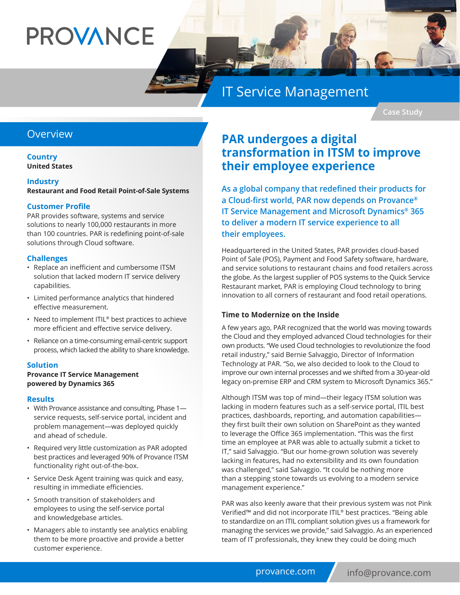# **PROVANCE**

## IT Service Management

**Case Study**

#### **Overview**

**Country United States**

#### **Industry**

**Restaurant and Food Retail Point-of-Sale Systems**

#### **Customer Profile**

PAR provides software, systems and service solutions to nearly 100,000 restaurants in more than 100 countries. PAR is redefining point-of-sale solutions through Cloud software.

#### **Challenges**

- Replace an inefficient and cumbersome ITSM solution that lacked modern IT service delivery capabilities.
- Limited performance analytics that hindered effective measurement.
- Need to implement ITIL<sup>®</sup> best practices to achieve more efficient and effective service delivery.
- Reliance on a time-consuming email-centric support process, which lacked the ability to share knowledge.

#### **Solution**

#### **Provance IT Service Management powered by Dynamics 365**

#### **Results**

- With Provance assistance and consulting, Phase 1 service requests, self-service portal, incident and problem management—was deployed quickly and ahead of schedule.
- Required very little customization as PAR adopted best practices and leveraged 90% of Provance ITSM functionality right out-of-the-box.
- Service Desk Agent training was quick and easy, resulting in immediate efficiencies.
- Smooth transition of stakeholders and employees to using the self-service portal and knowledgebase articles.
- Managers able to instantly see analytics enabling them to be more proactive and provide a better customer experience.

### **PAR undergoes a digital transformation in ITSM to improve their employee experience**

**As a global company that redefined their products for a Cloud-first world, PAR now depends on Provance® IT Service Management and Microsoft Dynamics® 365 to deliver a modern IT service experience to all their employees.**

Headquartered in the United States, PAR provides cloud-based Point of Sale (POS), Payment and Food Safety software, hardware, and service solutions to restaurant chains and food retailers across the globe. As the largest supplier of POS systems to the Quick Service Restaurant market, PAR is employing Cloud technology to bring innovation to all corners of restaurant and food retail operations.

#### **Time to Modernize on the Inside**

A few years ago, PAR recognized that the world was moving towards the Cloud and they employed advanced Cloud technologies for their own products. "We used Cloud technologies to revolutionize the food retail industry," said Bernie Salvaggio, Director of Information Technology at PAR. "So, we also decided to look to the Cloud to improve our own internal processes and we shifted from a 30-year-old legacy on-premise ERP and CRM system to Microsoft Dynamics 365."

Although ITSM was top of mind—their legacy ITSM solution was lacking in modern features such as a self-service portal, ITIL best practices, dashboards, reporting, and automation capabilities they first built their own solution on SharePoint as they wanted to leverage the Office 365 implementation. "This was the first time an employee at PAR was able to actually submit a ticket to IT," said Salvaggio. "But our home-grown solution was severely lacking in features, had no extensibility and its own foundation was challenged," said Salvaggio. "It could be nothing more than a stepping stone towards us evolving to a modern service management experience."

PAR was also keenly aware that their previous system was not Pink Verified™ and did not incorporate ITIL® best practices. "Being able to standardize on an ITIL compliant solution gives us a framework for managing the services we provide," said Salvaggio. As an experienced team of IT professionals, they knew they could be doing much